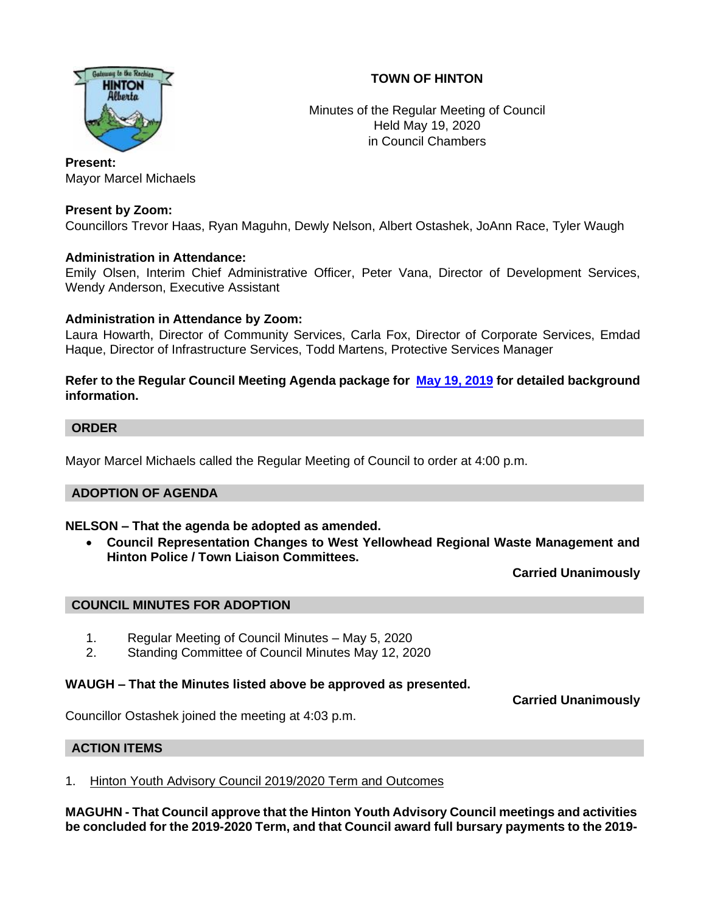# **TOWN OF HINTON**



Minutes of the Regular Meeting of Council Held May 19, 2020 in Council Chambers

**Present:**  Mayor Marcel Michaels

# **Present by Zoom:**

Councillors Trevor Haas, Ryan Maguhn, Dewly Nelson, Albert Ostashek, JoAnn Race, Tyler Waugh

## **Administration in Attendance:**

Emily Olsen, Interim Chief Administrative Officer, Peter Vana, Director of Development Services, Wendy Anderson, Executive Assistant

## **Administration in Attendance by Zoom:**

Laura Howarth, Director of Community Services, Carla Fox, Director of Corporate Services, Emdad Haque, Director of Infrastructure Services, Todd Martens, Protective Services Manager

**Refer to the Regular Council Meeting Agenda package for [May 19,](https://www.hinton.ca/ArchiveCenter/ViewFile/Item/3960) 2019 for detailed background information.**

## **ORDER**

Mayor Marcel Michaels called the Regular Meeting of Council to order at 4:00 p.m.

## **ADOPTION OF AGENDA**

## **NELSON – That the agenda be adopted as amended.**

• **Council Representation Changes to West Yellowhead Regional Waste Management and Hinton Police / Town Liaison Committees.**

**Carried Unanimously**

# **COUNCIL MINUTES FOR ADOPTION**

- 1. Regular Meeting of Council Minutes May 5, 2020
- 2. Standing Committee of Council Minutes May 12, 2020

#### **WAUGH – That the Minutes listed above be approved as presented.**

**Carried Unanimously**

Councillor Ostashek joined the meeting at 4:03 p.m.

## **ACTION ITEMS**

1. Hinton Youth Advisory Council 2019/2020 Term and Outcomes

**MAGUHN - That Council approve that the Hinton Youth Advisory Council meetings and activities be concluded for the 2019-2020 Term, and that Council award full bursary payments to the 2019-**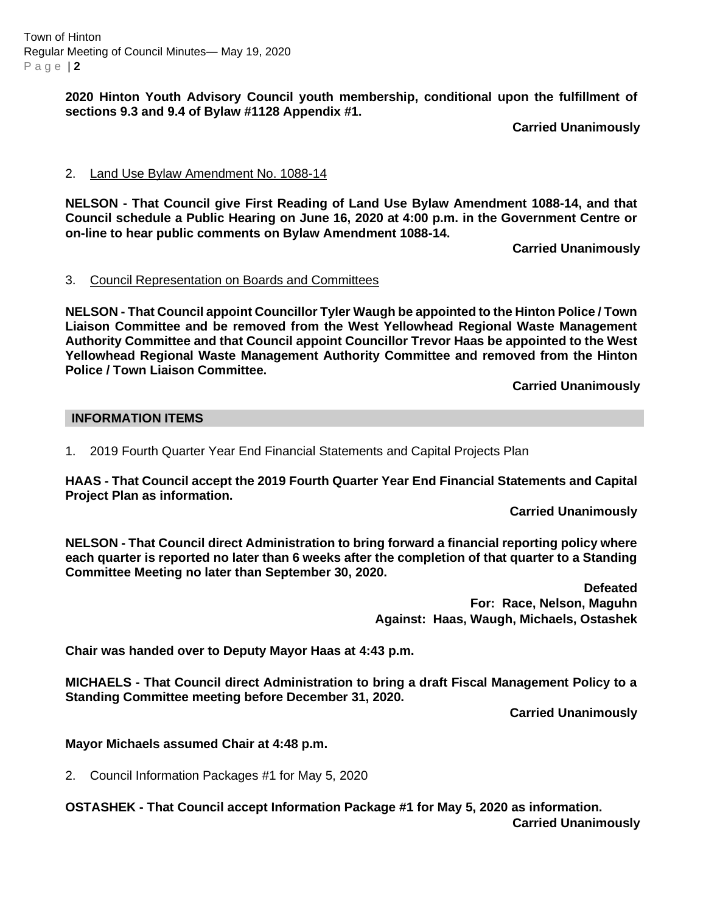Town of Hinton Regular Meeting of Council Minutes— May 19, 2020 P a g e | **2**

> **2020 Hinton Youth Advisory Council youth membership, conditional upon the fulfillment of sections 9.3 and 9.4 of Bylaw #1128 Appendix #1.**

> > **Carried Unanimously**

## 2. Land Use Bylaw Amendment No. 1088-14

**NELSON - That Council give First Reading of Land Use Bylaw Amendment 1088-14, and that Council schedule a Public Hearing on June 16, 2020 at 4:00 p.m. in the Government Centre or on-line to hear public comments on Bylaw Amendment 1088-14.** 

**Carried Unanimously**

#### 3. Council Representation on Boards and Committees

**NELSON - That Council appoint Councillor Tyler Waugh be appointed to the Hinton Police / Town Liaison Committee and be removed from the West Yellowhead Regional Waste Management Authority Committee and that Council appoint Councillor Trevor Haas be appointed to the West Yellowhead Regional Waste Management Authority Committee and removed from the Hinton Police / Town Liaison Committee.**

**Carried Unanimously**

## **INFORMATION ITEMS**

1. 2019 Fourth Quarter Year End Financial Statements and Capital Projects Plan

**HAAS - That Council accept the 2019 Fourth Quarter Year End Financial Statements and Capital Project Plan as information.**

**Carried Unanimously**

**NELSON - That Council direct Administration to bring forward a financial reporting policy where each quarter is reported no later than 6 weeks after the completion of that quarter to a Standing Committee Meeting no later than September 30, 2020.**

> **Defeated For: Race, Nelson, Maguhn Against: Haas, Waugh, Michaels, Ostashek**

**Chair was handed over to Deputy Mayor Haas at 4:43 p.m.**

**MICHAELS - That Council direct Administration to bring a draft Fiscal Management Policy to a Standing Committee meeting before December 31, 2020.**

**Carried Unanimously**

**Mayor Michaels assumed Chair at 4:48 p.m.**

2. Council Information Packages #1 for May 5, 2020

**OSTASHEK - That Council accept Information Package #1 for May 5, 2020 as information. Carried Unanimously**